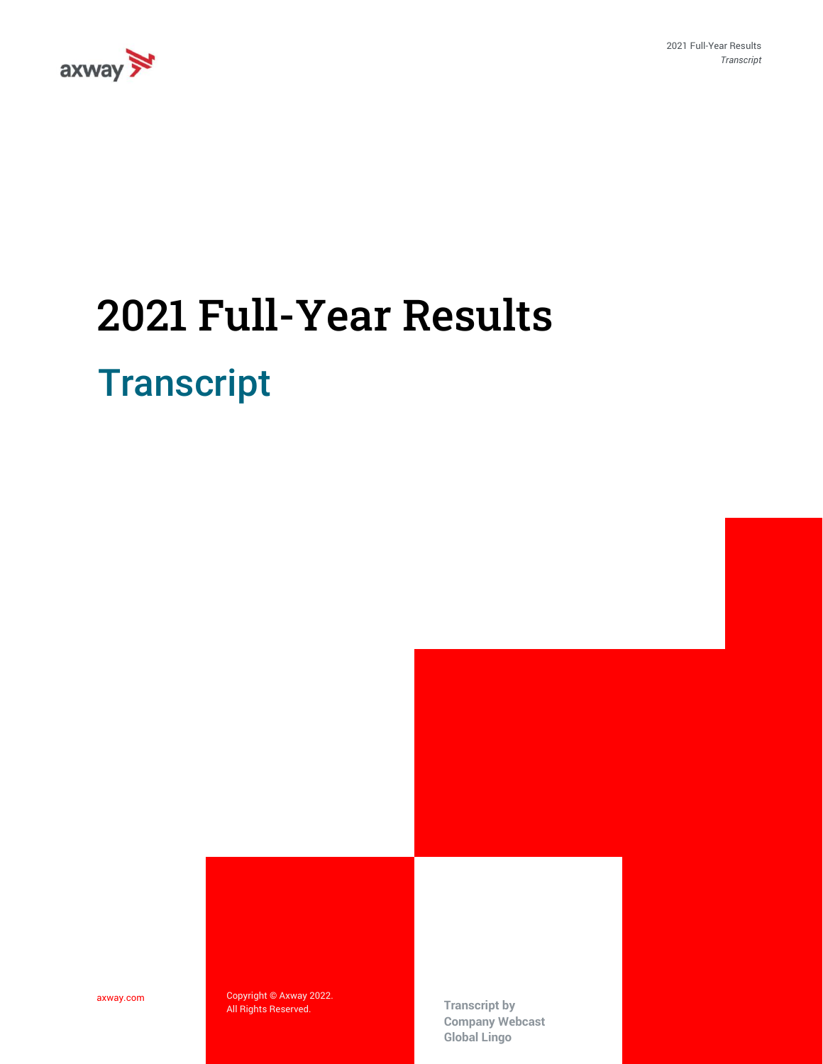

2021 Full-Year Results *Transcript*

## **Transcript** 2021 Full-Year Results

axway.com

Copyright © Axway 2022. All Rights Reserved. **Transcript by** 

**Company Webcast Global Lingo**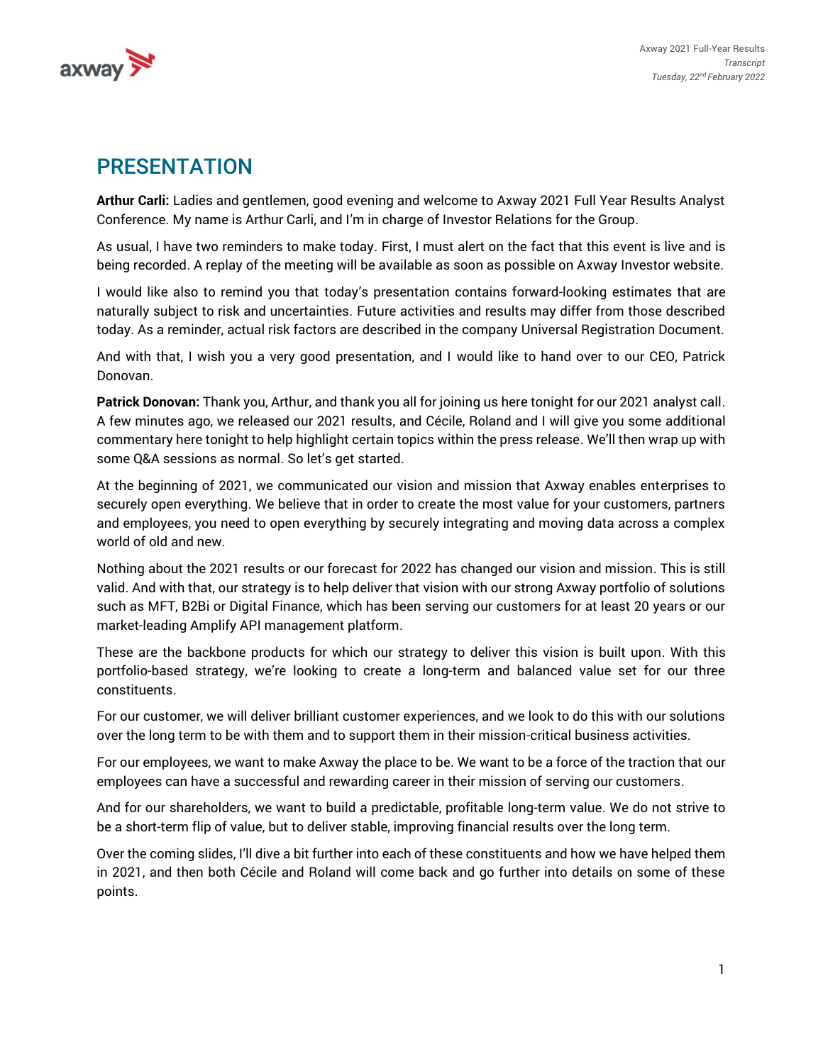

## PRESENTATION

**Arthur Carli:** Ladies and gentlemen, good evening and welcome to Axway 2021 Full Year Results Analyst Conference. My name is Arthur Carli, and I'm in charge of Investor Relations for the Group.

As usual, I have two reminders to make today. First, I must alert on the fact that this event is live and is being recorded. A replay of the meeting will be available as soon as possible on Axway Investor website.

I would like also to remind you that today's presentation contains forward-looking estimates that are naturally subject to risk and uncertainties. Future activities and results may differ from those described today. As a reminder, actual risk factors are described in the company Universal Registration Document.

And with that, I wish you a very good presentation, and I would like to hand over to our CEO, Patrick Donovan.

**Patrick Donovan:** Thank you, Arthur, and thank you all for joining us here tonight for our 2021 analyst call. A few minutes ago, we released our 2021 results, and Cécile, Roland and I will give you some additional commentary here tonight to help highlight certain topics within the press release. We'll then wrap up with some Q&A sessions as normal. So let's get started.

At the beginning of 2021, we communicated our vision and mission that Axway enables enterprises to securely open everything. We believe that in order to create the most value for your customers, partners and employees, you need to open everything by securely integrating and moving data across a complex world of old and new.

Nothing about the 2021 results or our forecast for 2022 has changed our vision and mission. This is still valid. And with that, our strategy is to help deliver that vision with our strong Axway portfolio of solutions such as MFT, B2Bi or Digital Finance, which has been serving our customers for at least 20 years or our market-leading Amplify API management platform.

These are the backbone products for which our strategy to deliver this vision is built upon. With this portfolio-based strategy, we're looking to create a long-term and balanced value set for our three constituents.

For our customer, we will deliver brilliant customer experiences, and we look to do this with our solutions over the long term to be with them and to support them in their mission-critical business activities.

For our employees, we want to make Axway the place to be. We want to be a force of the traction that our employees can have a successful and rewarding career in their mission of serving our customers.

And for our shareholders, we want to build a predictable, profitable long-term value. We do not strive to be a short-term flip of value, but to deliver stable, improving financial results over the long term.

Over the coming slides, I'll dive a bit further into each of these constituents and how we have helped them in 2021, and then both Cécile and Roland will come back and go further into details on some of these points.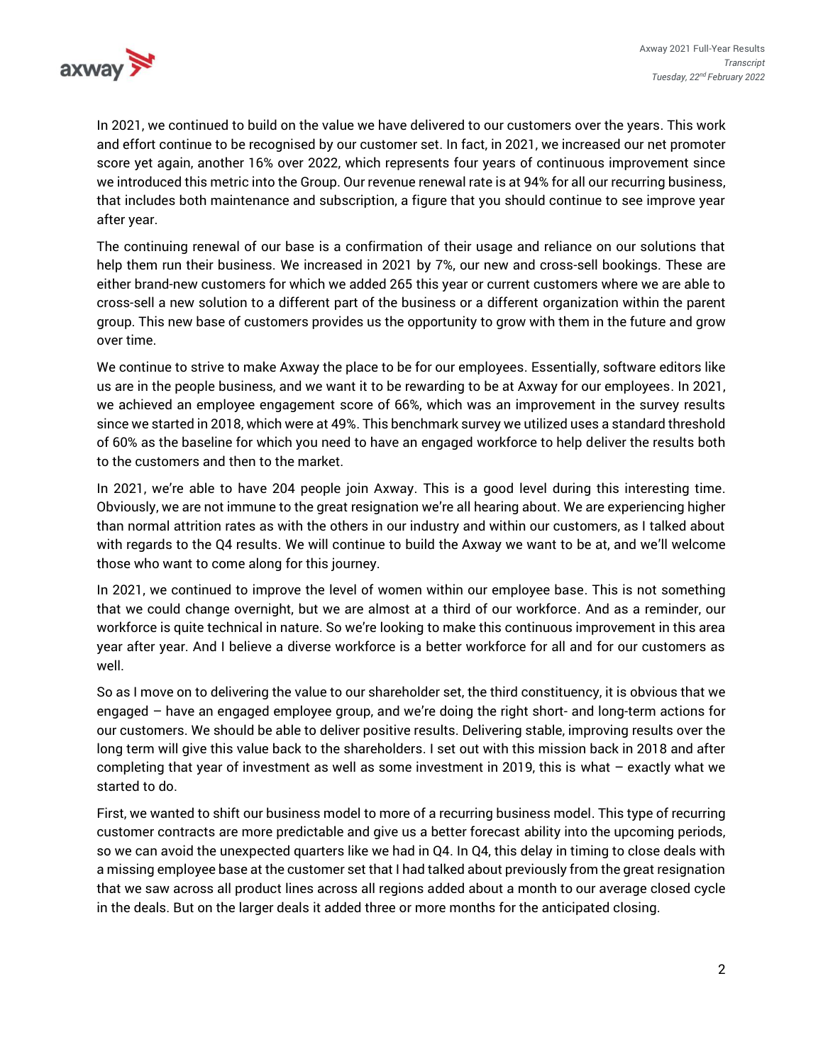

In 2021, we continued to build on the value we have delivered to our customers over the years. This work and effort continue to be recognised by our customer set. In fact, in 2021, we increased our net promoter score yet again, another 16% over 2022, which represents four years of continuous improvement since we introduced this metric into the Group. Our revenue renewal rate is at 94% for all our recurring business, that includes both maintenance and subscription, a figure that you should continue to see improve year after year.

The continuing renewal of our base is a confirmation of their usage and reliance on our solutions that help them run their business. We increased in 2021 by 7%, our new and cross-sell bookings. These are either brand-new customers for which we added 265 this year or current customers where we are able to cross-sell a new solution to a different part of the business or a different organization within the parent group. This new base of customers provides us the opportunity to grow with them in the future and grow over time.

We continue to strive to make Axway the place to be for our employees. Essentially, software editors like us are in the people business, and we want it to be rewarding to be at Axway for our employees. In 2021, we achieved an employee engagement score of 66%, which was an improvement in the survey results since we started in 2018, which were at 49%. This benchmark survey we utilized uses a standard threshold of 60% as the baseline for which you need to have an engaged workforce to help deliver the results both to the customers and then to the market.

In 2021, we're able to have 204 people join Axway. This is a good level during this interesting time. Obviously, we are not immune to the great resignation we're all hearing about. We are experiencing higher than normal attrition rates as with the others in our industry and within our customers, as I talked about with regards to the Q4 results. We will continue to build the Axway we want to be at, and we'll welcome those who want to come along for this journey.

In 2021, we continued to improve the level of women within our employee base. This is not something that we could change overnight, but we are almost at a third of our workforce. And as a reminder, our workforce is quite technical in nature. So we're looking to make this continuous improvement in this area year after year. And I believe a diverse workforce is a better workforce for all and for our customers as well.

So as I move on to delivering the value to our shareholder set, the third constituency, it is obvious that we engaged – have an engaged employee group, and we're doing the right short- and long-term actions for our customers. We should be able to deliver positive results. Delivering stable, improving results over the long term will give this value back to the shareholders. I set out with this mission back in 2018 and after completing that year of investment as well as some investment in 2019, this is what – exactly what we started to do.

First, we wanted to shift our business model to more of a recurring business model. This type of recurring customer contracts are more predictable and give us a better forecast ability into the upcoming periods, so we can avoid the unexpected quarters like we had in Q4. In Q4, this delay in timing to close deals with a missing employee base at the customer set that I had talked about previously from the great resignation that we saw across all product lines across all regions added about a month to our average closed cycle in the deals. But on the larger deals it added three or more months for the anticipated closing.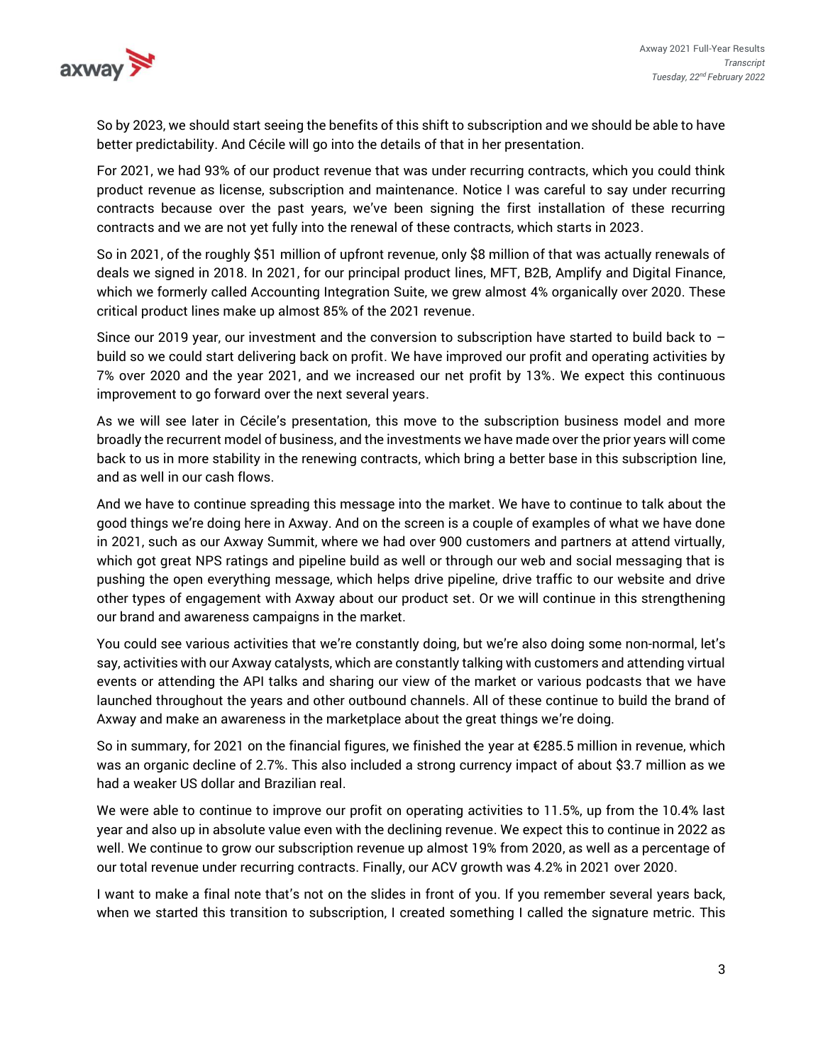

So by 2023, we should start seeing the benefits of this shift to subscription and we should be able to have better predictability. And Cécile will go into the details of that in her presentation.

For 2021, we had 93% of our product revenue that was under recurring contracts, which you could think product revenue as license, subscription and maintenance. Notice I was careful to say under recurring contracts because over the past years, we've been signing the first installation of these recurring contracts and we are not yet fully into the renewal of these contracts, which starts in 2023.

So in 2021, of the roughly \$51 million of upfront revenue, only \$8 million of that was actually renewals of deals we signed in 2018. In 2021, for our principal product lines, MFT, B2B, Amplify and Digital Finance, which we formerly called Accounting Integration Suite, we grew almost 4% organically over 2020. These critical product lines make up almost 85% of the 2021 revenue.

Since our 2019 year, our investment and the conversion to subscription have started to build back to  $$ build so we could start delivering back on profit. We have improved our profit and operating activities by 7% over 2020 and the year 2021, and we increased our net profit by 13%. We expect this continuous improvement to go forward over the next several years.

As we will see later in Cécile's presentation, this move to the subscription business model and more broadly the recurrent model of business, and the investments we have made over the prior years will come back to us in more stability in the renewing contracts, which bring a better base in this subscription line, and as well in our cash flows.

And we have to continue spreading this message into the market. We have to continue to talk about the good things we're doing here in Axway. And on the screen is a couple of examples of what we have done in 2021, such as our Axway Summit, where we had over 900 customers and partners at attend virtually, which got great NPS ratings and pipeline build as well or through our web and social messaging that is pushing the open everything message, which helps drive pipeline, drive traffic to our website and drive other types of engagement with Axway about our product set. Or we will continue in this strengthening our brand and awareness campaigns in the market.

You could see various activities that we're constantly doing, but we're also doing some non-normal, let's say, activities with our Axway catalysts, which are constantly talking with customers and attending virtual events or attending the API talks and sharing our view of the market or various podcasts that we have launched throughout the years and other outbound channels. All of these continue to build the brand of Axway and make an awareness in the marketplace about the great things we're doing.

So in summary, for 2021 on the financial figures, we finished the year at €285.5 million in revenue, which was an organic decline of 2.7%. This also included a strong currency impact of about \$3.7 million as we had a weaker US dollar and Brazilian real.

We were able to continue to improve our profit on operating activities to 11.5%, up from the 10.4% last year and also up in absolute value even with the declining revenue. We expect this to continue in 2022 as well. We continue to grow our subscription revenue up almost 19% from 2020, as well as a percentage of our total revenue under recurring contracts. Finally, our ACV growth was 4.2% in 2021 over 2020.

I want to make a final note that's not on the slides in front of you. If you remember several years back, when we started this transition to subscription, I created something I called the signature metric. This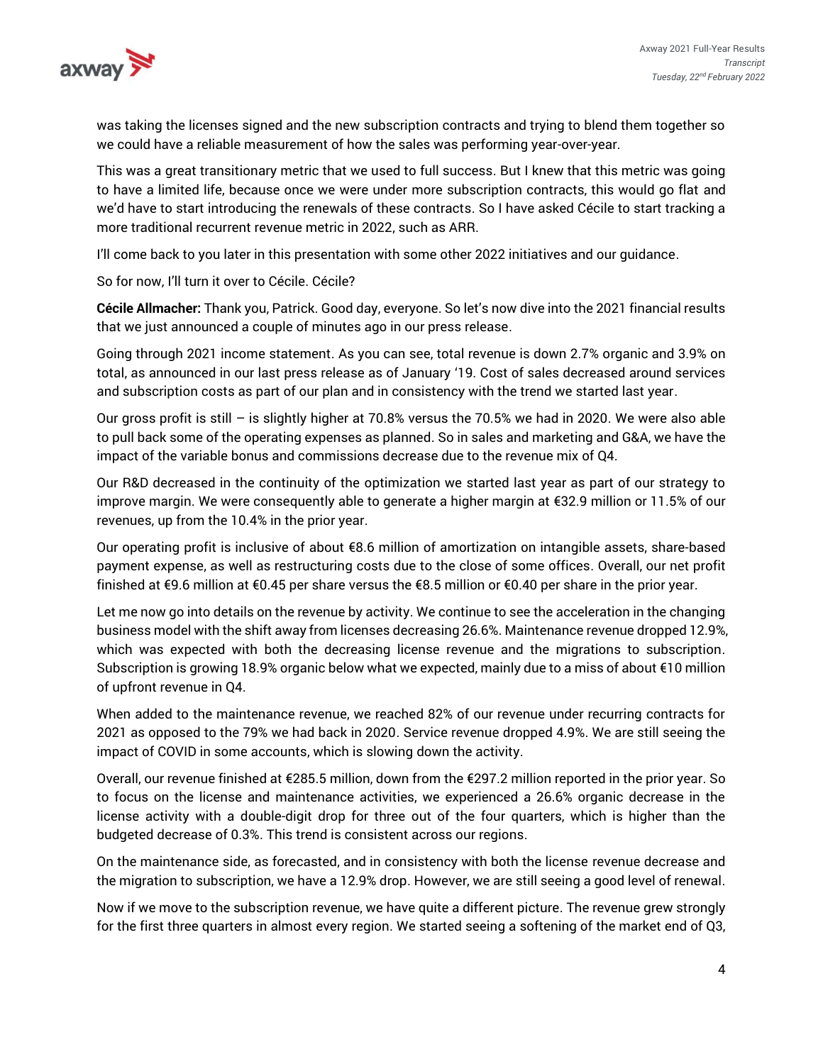

was taking the licenses signed and the new subscription contracts and trying to blend them together so we could have a reliable measurement of how the sales was performing year-over-year.

This was a great transitionary metric that we used to full success. But I knew that this metric was going to have a limited life, because once we were under more subscription contracts, this would go flat and we'd have to start introducing the renewals of these contracts. So I have asked Cécile to start tracking a more traditional recurrent revenue metric in 2022, such as ARR.

I'll come back to you later in this presentation with some other 2022 initiatives and our guidance.

So for now, I'll turn it over to Cécile. Cécile?

**Cécile Allmacher:** Thank you, Patrick. Good day, everyone. So let's now dive into the 2021 financial results that we just announced a couple of minutes ago in our press release.

Going through 2021 income statement. As you can see, total revenue is down 2.7% organic and 3.9% on total, as announced in our last press release as of January '19. Cost of sales decreased around services and subscription costs as part of our plan and in consistency with the trend we started last year.

Our gross profit is still – is slightly higher at 70.8% versus the 70.5% we had in 2020. We were also able to pull back some of the operating expenses as planned. So in sales and marketing and G&A, we have the impact of the variable bonus and commissions decrease due to the revenue mix of Q4.

Our R&D decreased in the continuity of the optimization we started last year as part of our strategy to improve margin. We were consequently able to generate a higher margin at €32.9 million or 11.5% of our revenues, up from the 10.4% in the prior year.

Our operating profit is inclusive of about €8.6 million of amortization on intangible assets, share-based payment expense, as well as restructuring costs due to the close of some offices. Overall, our net profit finished at €9.6 million at €0.45 per share versus the €8.5 million or €0.40 per share in the prior year.

Let me now go into details on the revenue by activity. We continue to see the acceleration in the changing business model with the shift away from licenses decreasing 26.6%. Maintenance revenue dropped 12.9%, which was expected with both the decreasing license revenue and the migrations to subscription. Subscription is growing 18.9% organic below what we expected, mainly due to a miss of about €10 million of upfront revenue in Q4.

When added to the maintenance revenue, we reached 82% of our revenue under recurring contracts for 2021 as opposed to the 79% we had back in 2020. Service revenue dropped 4.9%. We are still seeing the impact of COVID in some accounts, which is slowing down the activity.

Overall, our revenue finished at €285.5 million, down from the €297.2 million reported in the prior year. So to focus on the license and maintenance activities, we experienced a 26.6% organic decrease in the license activity with a double-digit drop for three out of the four quarters, which is higher than the budgeted decrease of 0.3%. This trend is consistent across our regions.

On the maintenance side, as forecasted, and in consistency with both the license revenue decrease and the migration to subscription, we have a 12.9% drop. However, we are still seeing a good level of renewal.

Now if we move to the subscription revenue, we have quite a different picture. The revenue grew strongly for the first three quarters in almost every region. We started seeing a softening of the market end of Q3,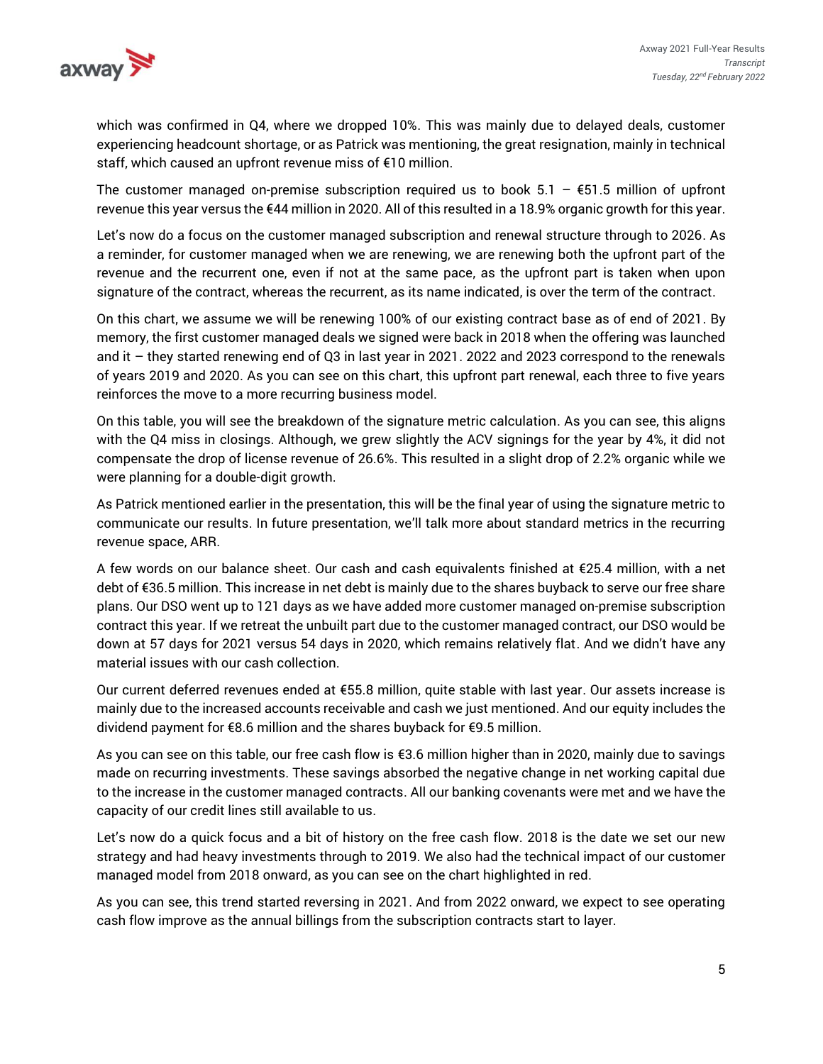

which was confirmed in Q4, where we dropped 10%. This was mainly due to delayed deals, customer experiencing headcount shortage, or as Patrick was mentioning, the great resignation, mainly in technical staff, which caused an upfront revenue miss of €10 million.

The customer managed on-premise subscription required us to book  $5.1 - 651.5$  million of upfront revenue this year versus the €44 million in 2020. All of this resulted in a 18.9% organic growth for this year.

Let's now do a focus on the customer managed subscription and renewal structure through to 2026. As a reminder, for customer managed when we are renewing, we are renewing both the upfront part of the revenue and the recurrent one, even if not at the same pace, as the upfront part is taken when upon signature of the contract, whereas the recurrent, as its name indicated, is over the term of the contract.

On this chart, we assume we will be renewing 100% of our existing contract base as of end of 2021. By memory, the first customer managed deals we signed were back in 2018 when the offering was launched and it – they started renewing end of Q3 in last year in 2021. 2022 and 2023 correspond to the renewals of years 2019 and 2020. As you can see on this chart, this upfront part renewal, each three to five years reinforces the move to a more recurring business model.

On this table, you will see the breakdown of the signature metric calculation. As you can see, this aligns with the Q4 miss in closings. Although, we grew slightly the ACV signings for the year by 4%, it did not compensate the drop of license revenue of 26.6%. This resulted in a slight drop of 2.2% organic while we were planning for a double-digit growth.

As Patrick mentioned earlier in the presentation, this will be the final year of using the signature metric to communicate our results. In future presentation, we'll talk more about standard metrics in the recurring revenue space, ARR.

A few words on our balance sheet. Our cash and cash equivalents finished at €25.4 million, with a net debt of €36.5 million. This increase in net debt is mainly due to the shares buyback to serve our free share plans. Our DSO went up to 121 days as we have added more customer managed on-premise subscription contract this year. If we retreat the unbuilt part due to the customer managed contract, our DSO would be down at 57 days for 2021 versus 54 days in 2020, which remains relatively flat. And we didn't have any material issues with our cash collection.

Our current deferred revenues ended at €55.8 million, quite stable with last year. Our assets increase is mainly due to the increased accounts receivable and cash we just mentioned. And our equity includes the dividend payment for €8.6 million and the shares buyback for €9.5 million.

As you can see on this table, our free cash flow is €3.6 million higher than in 2020, mainly due to savings made on recurring investments. These savings absorbed the negative change in net working capital due to the increase in the customer managed contracts. All our banking covenants were met and we have the capacity of our credit lines still available to us.

Let's now do a quick focus and a bit of history on the free cash flow. 2018 is the date we set our new strategy and had heavy investments through to 2019. We also had the technical impact of our customer managed model from 2018 onward, as you can see on the chart highlighted in red.

As you can see, this trend started reversing in 2021. And from 2022 onward, we expect to see operating cash flow improve as the annual billings from the subscription contracts start to layer.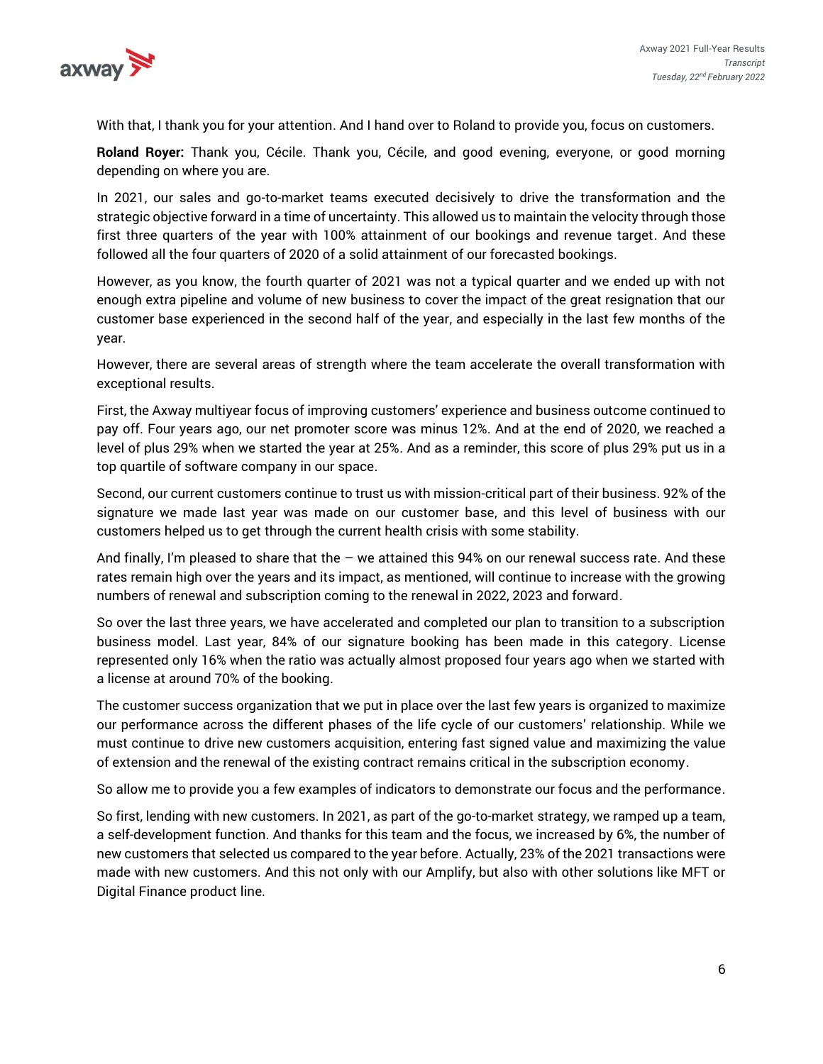

With that, I thank you for your attention. And I hand over to Roland to provide you, focus on customers.

**Roland Royer:** Thank you, Cécile. Thank you, Cécile, and good evening, everyone, or good morning depending on where you are.

In 2021, our sales and go-to-market teams executed decisively to drive the transformation and the strategic objective forward in a time of uncertainty. This allowed us to maintain the velocity through those first three quarters of the year with 100% attainment of our bookings and revenue target. And these followed all the four quarters of 2020 of a solid attainment of our forecasted bookings.

However, as you know, the fourth quarter of 2021 was not a typical quarter and we ended up with not enough extra pipeline and volume of new business to cover the impact of the great resignation that our customer base experienced in the second half of the year, and especially in the last few months of the year.

However, there are several areas of strength where the team accelerate the overall transformation with exceptional results.

First, the Axway multiyear focus of improving customers' experience and business outcome continued to pay off. Four years ago, our net promoter score was minus 12%. And at the end of 2020, we reached a level of plus 29% when we started the year at 25%. And as a reminder, this score of plus 29% put us in a top quartile of software company in our space.

Second, our current customers continue to trust us with mission-critical part of their business. 92% of the signature we made last year was made on our customer base, and this level of business with our customers helped us to get through the current health crisis with some stability.

And finally, I'm pleased to share that the  $-$  we attained this 94% on our renewal success rate. And these rates remain high over the years and its impact, as mentioned, will continue to increase with the growing numbers of renewal and subscription coming to the renewal in 2022, 2023 and forward.

So over the last three years, we have accelerated and completed our plan to transition to a subscription business model. Last year, 84% of our signature booking has been made in this category. License represented only 16% when the ratio was actually almost proposed four years ago when we started with a license at around 70% of the booking.

The customer success organization that we put in place over the last few years is organized to maximize our performance across the different phases of the life cycle of our customers' relationship. While we must continue to drive new customers acquisition, entering fast signed value and maximizing the value of extension and the renewal of the existing contract remains critical in the subscription economy.

So allow me to provide you a few examples of indicators to demonstrate our focus and the performance.

So first, lending with new customers. In 2021, as part of the go-to-market strategy, we ramped up a team, a self-development function. And thanks for this team and the focus, we increased by 6%, the number of new customers that selected us compared to the year before. Actually, 23% of the 2021 transactions were made with new customers. And this not only with our Amplify, but also with other solutions like MFT or Digital Finance product line.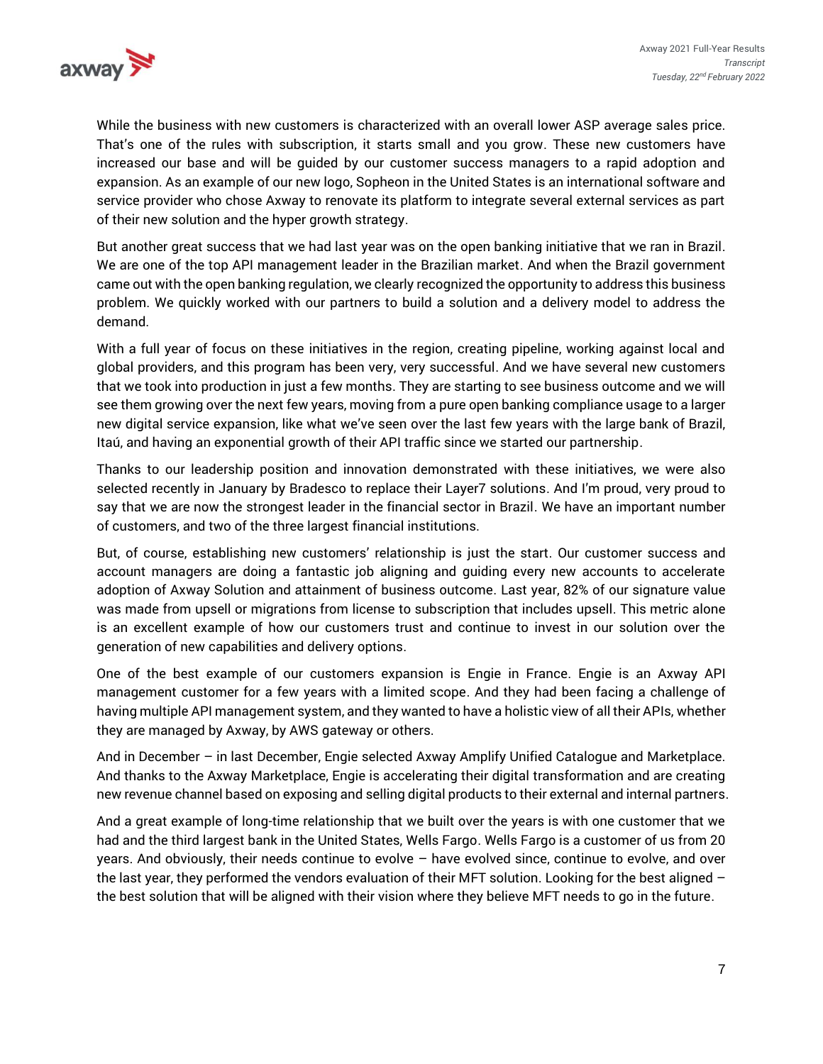

While the business with new customers is characterized with an overall lower ASP average sales price. That's one of the rules with subscription, it starts small and you grow. These new customers have increased our base and will be guided by our customer success managers to a rapid adoption and expansion. As an example of our new logo, Sopheon in the United States is an international software and service provider who chose Axway to renovate its platform to integrate several external services as part of their new solution and the hyper growth strategy.

But another great success that we had last year was on the open banking initiative that we ran in Brazil. We are one of the top API management leader in the Brazilian market. And when the Brazil government came out with the open banking regulation, we clearly recognized the opportunity to address this business problem. We quickly worked with our partners to build a solution and a delivery model to address the demand.

With a full year of focus on these initiatives in the region, creating pipeline, working against local and global providers, and this program has been very, very successful. And we have several new customers that we took into production in just a few months. They are starting to see business outcome and we will see them growing over the next few years, moving from a pure open banking compliance usage to a larger new digital service expansion, like what we've seen over the last few years with the large bank of Brazil, Itaú, and having an exponential growth of their API traffic since we started our partnership.

Thanks to our leadership position and innovation demonstrated with these initiatives, we were also selected recently in January by Bradesco to replace their Layer7 solutions. And I'm proud, very proud to say that we are now the strongest leader in the financial sector in Brazil. We have an important number of customers, and two of the three largest financial institutions.

But, of course, establishing new customers' relationship is just the start. Our customer success and account managers are doing a fantastic job aligning and guiding every new accounts to accelerate adoption of Axway Solution and attainment of business outcome. Last year, 82% of our signature value was made from upsell or migrations from license to subscription that includes upsell. This metric alone is an excellent example of how our customers trust and continue to invest in our solution over the generation of new capabilities and delivery options.

One of the best example of our customers expansion is Engie in France. Engie is an Axway API management customer for a few years with a limited scope. And they had been facing a challenge of having multiple API management system, and they wanted to have a holistic view of all their APIs, whether they are managed by Axway, by AWS gateway or others.

And in December – in last December, Engie selected Axway Amplify Unified Catalogue and Marketplace. And thanks to the Axway Marketplace, Engie is accelerating their digital transformation and are creating new revenue channel based on exposing and selling digital products to their external and internal partners.

And a great example of long-time relationship that we built over the years is with one customer that we had and the third largest bank in the United States, Wells Fargo. Wells Fargo is a customer of us from 20 years. And obviously, their needs continue to evolve – have evolved since, continue to evolve, and over the last year, they performed the vendors evaluation of their MFT solution. Looking for the best aligned the best solution that will be aligned with their vision where they believe MFT needs to go in the future.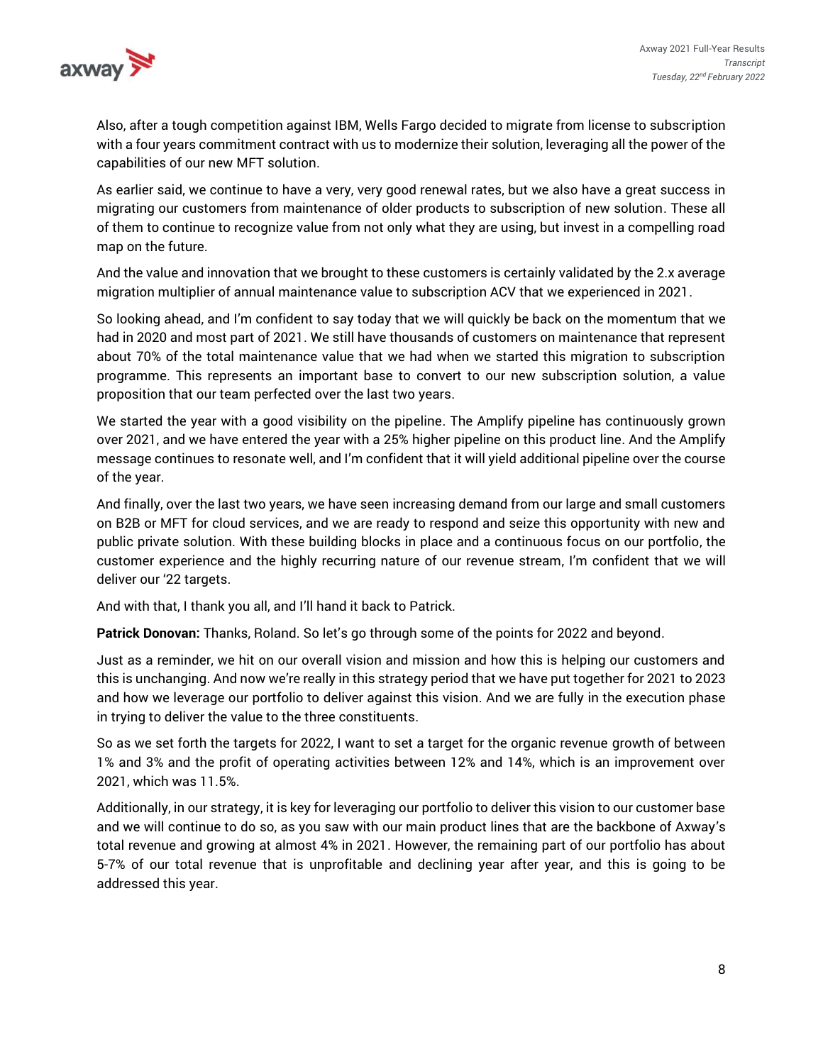

Also, after a tough competition against IBM, Wells Fargo decided to migrate from license to subscription with a four years commitment contract with us to modernize their solution, leveraging all the power of the capabilities of our new MFT solution.

As earlier said, we continue to have a very, very good renewal rates, but we also have a great success in migrating our customers from maintenance of older products to subscription of new solution. These all of them to continue to recognize value from not only what they are using, but invest in a compelling road map on the future.

And the value and innovation that we brought to these customers is certainly validated by the 2.x average migration multiplier of annual maintenance value to subscription ACV that we experienced in 2021.

So looking ahead, and I'm confident to say today that we will quickly be back on the momentum that we had in 2020 and most part of 2021. We still have thousands of customers on maintenance that represent about 70% of the total maintenance value that we had when we started this migration to subscription programme. This represents an important base to convert to our new subscription solution, a value proposition that our team perfected over the last two years.

We started the year with a good visibility on the pipeline. The Amplify pipeline has continuously grown over 2021, and we have entered the year with a 25% higher pipeline on this product line. And the Amplify message continues to resonate well, and I'm confident that it will yield additional pipeline over the course of the year.

And finally, over the last two years, we have seen increasing demand from our large and small customers on B2B or MFT for cloud services, and we are ready to respond and seize this opportunity with new and public private solution. With these building blocks in place and a continuous focus on our portfolio, the customer experience and the highly recurring nature of our revenue stream, I'm confident that we will deliver our '22 targets.

And with that, I thank you all, and I'll hand it back to Patrick.

**Patrick Donovan:** Thanks, Roland. So let's go through some of the points for 2022 and beyond.

Just as a reminder, we hit on our overall vision and mission and how this is helping our customers and this is unchanging. And now we're really in this strategy period that we have put together for 2021 to 2023 and how we leverage our portfolio to deliver against this vision. And we are fully in the execution phase in trying to deliver the value to the three constituents.

So as we set forth the targets for 2022, I want to set a target for the organic revenue growth of between 1% and 3% and the profit of operating activities between 12% and 14%, which is an improvement over 2021, which was 11.5%.

Additionally, in our strategy, it is key for leveraging our portfolio to deliver this vision to our customer base and we will continue to do so, as you saw with our main product lines that are the backbone of Axway's total revenue and growing at almost 4% in 2021. However, the remaining part of our portfolio has about 5-7% of our total revenue that is unprofitable and declining year after year, and this is going to be addressed this year.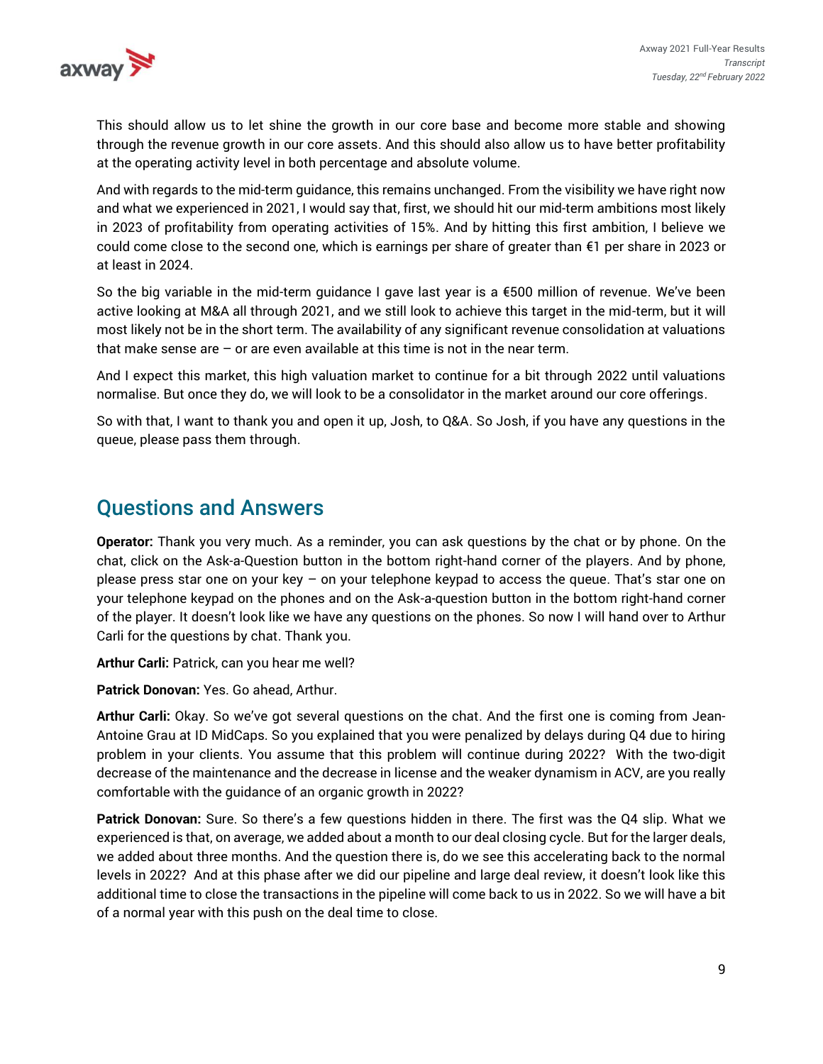

This should allow us to let shine the growth in our core base and become more stable and showing through the revenue growth in our core assets. And this should also allow us to have better profitability at the operating activity level in both percentage and absolute volume.

And with regards to the mid-term guidance, this remains unchanged. From the visibility we have right now and what we experienced in 2021, I would say that, first, we should hit our mid-term ambitions most likely in 2023 of profitability from operating activities of 15%. And by hitting this first ambition, I believe we could come close to the second one, which is earnings per share of greater than €1 per share in 2023 or at least in 2024.

So the big variable in the mid-term guidance I gave last year is a €500 million of revenue. We've been active looking at M&A all through 2021, and we still look to achieve this target in the mid-term, but it will most likely not be in the short term. The availability of any significant revenue consolidation at valuations that make sense are  $-$  or are even available at this time is not in the near term.

And I expect this market, this high valuation market to continue for a bit through 2022 until valuations normalise. But once they do, we will look to be a consolidator in the market around our core offerings.

So with that, I want to thank you and open it up, Josh, to Q&A. So Josh, if you have any questions in the queue, please pass them through.

## Questions and Answers

**Operator:** Thank you very much. As a reminder, you can ask questions by the chat or by phone. On the chat, click on the Ask-a-Question button in the bottom right-hand corner of the players. And by phone, please press star one on your key – on your telephone keypad to access the queue. That's star one on your telephone keypad on the phones and on the Ask-a-question button in the bottom right-hand corner of the player. It doesn't look like we have any questions on the phones. So now I will hand over to Arthur Carli for the questions by chat. Thank you.

**Arthur Carli:** Patrick, can you hear me well?

**Patrick Donovan:** Yes. Go ahead, Arthur.

**Arthur Carli:** Okay. So we've got several questions on the chat. And the first one is coming from Jean-Antoine Grau at ID MidCaps. So you explained that you were penalized by delays during Q4 due to hiring problem in your clients. You assume that this problem will continue during 2022? With the two-digit decrease of the maintenance and the decrease in license and the weaker dynamism in ACV, are you really comfortable with the guidance of an organic growth in 2022?

**Patrick Donovan:** Sure. So there's a few questions hidden in there. The first was the Q4 slip. What we experienced is that, on average, we added about a month to our deal closing cycle. But for the larger deals, we added about three months. And the question there is, do we see this accelerating back to the normal levels in 2022? And at this phase after we did our pipeline and large deal review, it doesn't look like this additional time to close the transactions in the pipeline will come back to us in 2022. So we will have a bit of a normal year with this push on the deal time to close.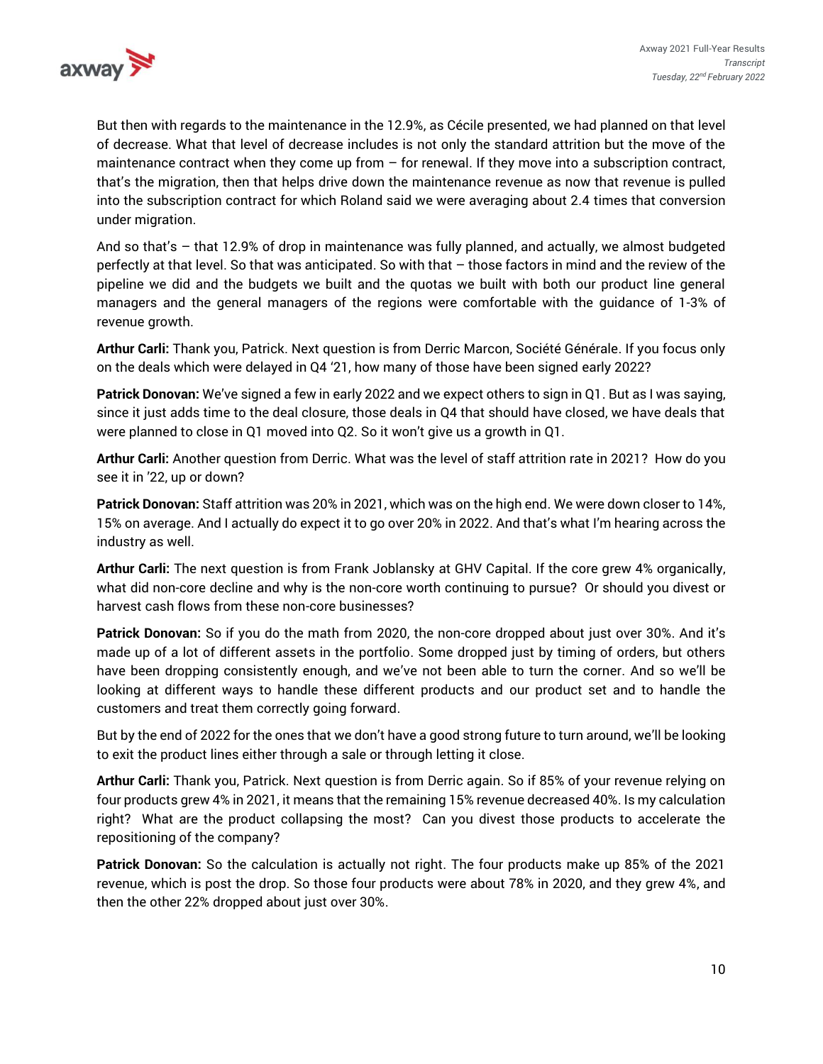

But then with regards to the maintenance in the 12.9%, as Cécile presented, we had planned on that level of decrease. What that level of decrease includes is not only the standard attrition but the move of the maintenance contract when they come up from – for renewal. If they move into a subscription contract, that's the migration, then that helps drive down the maintenance revenue as now that revenue is pulled into the subscription contract for which Roland said we were averaging about 2.4 times that conversion under migration.

And so that's – that 12.9% of drop in maintenance was fully planned, and actually, we almost budgeted perfectly at that level. So that was anticipated. So with that – those factors in mind and the review of the pipeline we did and the budgets we built and the quotas we built with both our product line general managers and the general managers of the regions were comfortable with the guidance of 1-3% of revenue growth.

**Arthur Carli:** Thank you, Patrick. Next question is from Derric Marcon, Société Générale. If you focus only on the deals which were delayed in Q4 '21, how many of those have been signed early 2022?

**Patrick Donovan:** We've signed a few in early 2022 and we expect others to sign in Q1. But as I was saying, since it just adds time to the deal closure, those deals in Q4 that should have closed, we have deals that were planned to close in Q1 moved into Q2. So it won't give us a growth in Q1.

**Arthur Carli:** Another question from Derric. What was the level of staff attrition rate in 2021? How do you see it in '22, up or down?

**Patrick Donovan:** Staff attrition was 20% in 2021, which was on the high end. We were down closer to 14%, 15% on average. And I actually do expect it to go over 20% in 2022. And that's what I'm hearing across the industry as well.

**Arthur Carli:** The next question is from Frank Joblansky at GHV Capital. If the core grew 4% organically, what did non-core decline and why is the non-core worth continuing to pursue? Or should you divest or harvest cash flows from these non-core businesses?

**Patrick Donovan:** So if you do the math from 2020, the non-core dropped about just over 30%. And it's made up of a lot of different assets in the portfolio. Some dropped just by timing of orders, but others have been dropping consistently enough, and we've not been able to turn the corner. And so we'll be looking at different ways to handle these different products and our product set and to handle the customers and treat them correctly going forward.

But by the end of 2022 for the ones that we don't have a good strong future to turn around, we'll be looking to exit the product lines either through a sale or through letting it close.

**Arthur Carli:** Thank you, Patrick. Next question is from Derric again. So if 85% of your revenue relying on four products grew 4% in 2021, it means that the remaining 15% revenue decreased 40%. Is my calculation right? What are the product collapsing the most? Can you divest those products to accelerate the repositioning of the company?

**Patrick Donovan:** So the calculation is actually not right. The four products make up 85% of the 2021 revenue, which is post the drop. So those four products were about 78% in 2020, and they grew 4%, and then the other 22% dropped about just over 30%.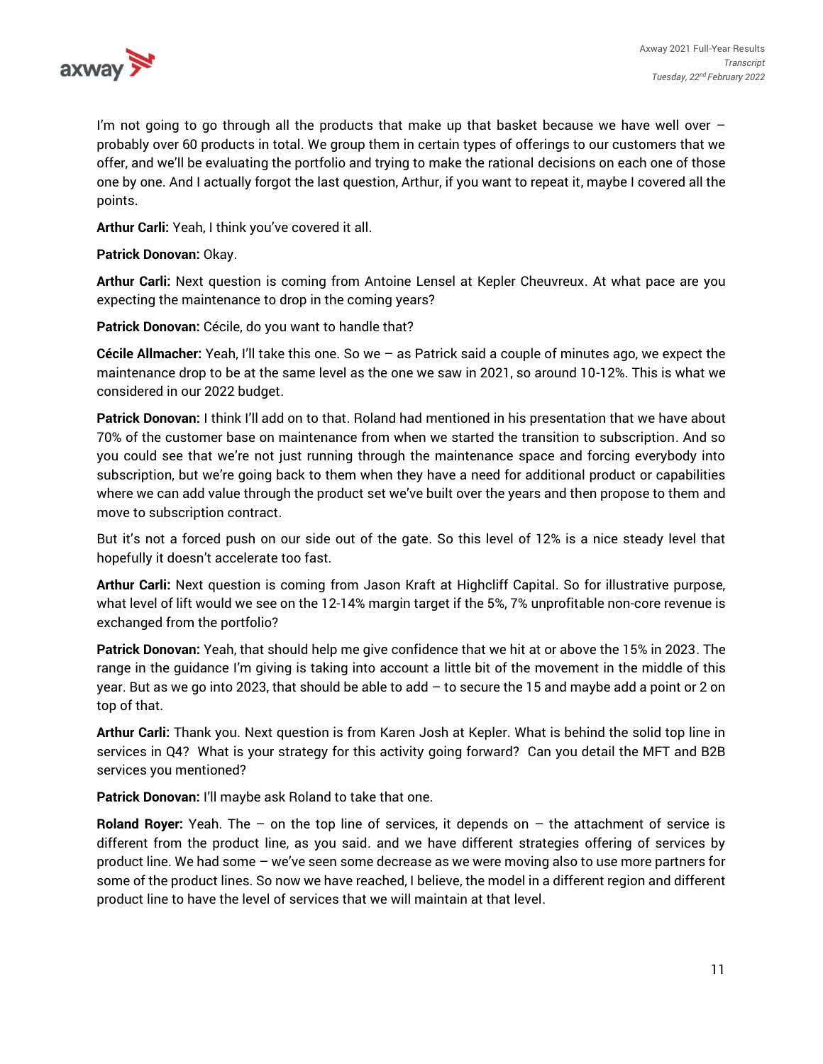

I'm not going to go through all the products that make up that basket because we have well over  $$ probably over 60 products in total. We group them in certain types of offerings to our customers that we offer, and we'll be evaluating the portfolio and trying to make the rational decisions on each one of those one by one. And I actually forgot the last question, Arthur, if you want to repeat it, maybe I covered all the points.

**Arthur Carli:** Yeah, I think you've covered it all.

**Patrick Donovan:** Okay.

**Arthur Carli:** Next question is coming from Antoine Lensel at Kepler Cheuvreux. At what pace are you expecting the maintenance to drop in the coming years?

**Patrick Donovan:** Cécile, do you want to handle that?

**Cécile Allmacher:** Yeah, I'll take this one. So we – as Patrick said a couple of minutes ago, we expect the maintenance drop to be at the same level as the one we saw in 2021, so around 10-12%. This is what we considered in our 2022 budget.

**Patrick Donovan:** I think I'll add on to that. Roland had mentioned in his presentation that we have about 70% of the customer base on maintenance from when we started the transition to subscription. And so you could see that we're not just running through the maintenance space and forcing everybody into subscription, but we're going back to them when they have a need for additional product or capabilities where we can add value through the product set we've built over the years and then propose to them and move to subscription contract.

But it's not a forced push on our side out of the gate. So this level of 12% is a nice steady level that hopefully it doesn't accelerate too fast.

**Arthur Carli:** Next question is coming from Jason Kraft at Highcliff Capital. So for illustrative purpose, what level of lift would we see on the 12-14% margin target if the 5%, 7% unprofitable non-core revenue is exchanged from the portfolio?

**Patrick Donovan:** Yeah, that should help me give confidence that we hit at or above the 15% in 2023. The range in the guidance I'm giving is taking into account a little bit of the movement in the middle of this year. But as we go into 2023, that should be able to add – to secure the 15 and maybe add a point or 2 on top of that.

**Arthur Carli:** Thank you. Next question is from Karen Josh at Kepler. What is behind the solid top line in services in Q4? What is your strategy for this activity going forward? Can you detail the MFT and B2B services you mentioned?

**Patrick Donovan:** I'll maybe ask Roland to take that one.

**Roland Royer:** Yeah. The – on the top line of services, it depends on – the attachment of service is different from the product line, as you said. and we have different strategies offering of services by product line. We had some – we've seen some decrease as we were moving also to use more partners for some of the product lines. So now we have reached, I believe, the model in a different region and different product line to have the level of services that we will maintain at that level.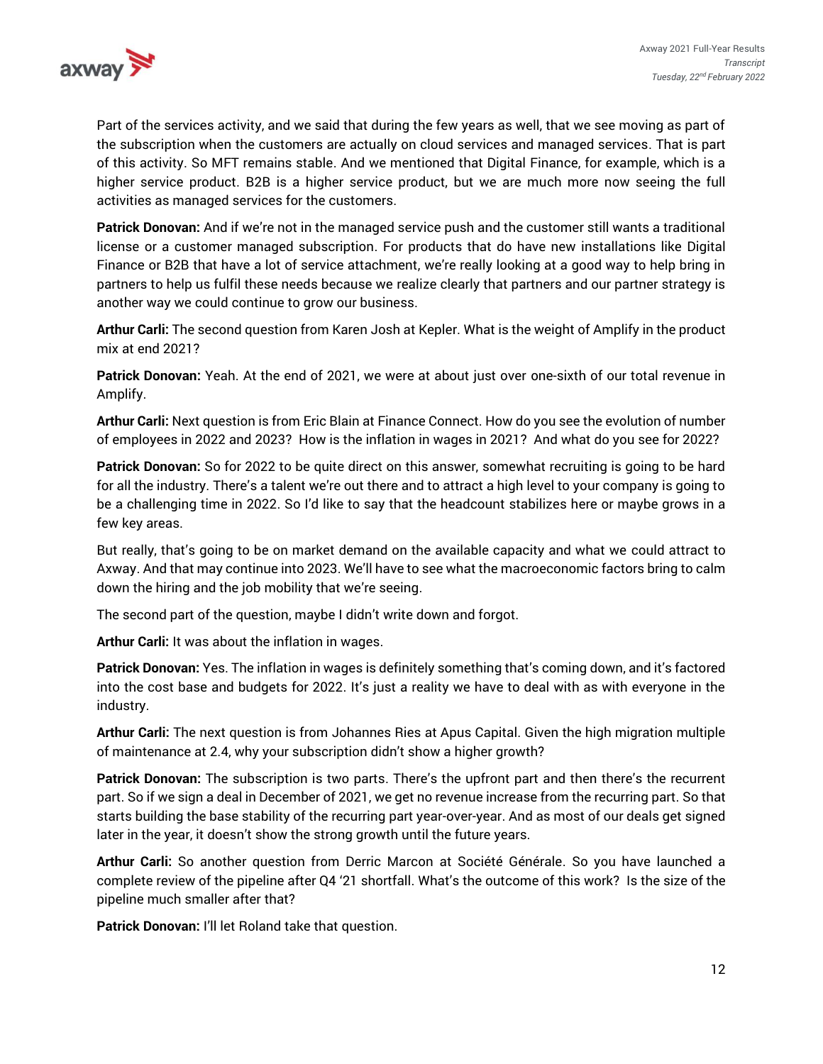

Part of the services activity, and we said that during the few years as well, that we see moving as part of the subscription when the customers are actually on cloud services and managed services. That is part of this activity. So MFT remains stable. And we mentioned that Digital Finance, for example, which is a higher service product. B2B is a higher service product, but we are much more now seeing the full activities as managed services for the customers.

**Patrick Donovan:** And if we're not in the managed service push and the customer still wants a traditional license or a customer managed subscription. For products that do have new installations like Digital Finance or B2B that have a lot of service attachment, we're really looking at a good way to help bring in partners to help us fulfil these needs because we realize clearly that partners and our partner strategy is another way we could continue to grow our business.

**Arthur Carli:** The second question from Karen Josh at Kepler. What is the weight of Amplify in the product mix at end 2021?

**Patrick Donovan:** Yeah. At the end of 2021, we were at about just over one-sixth of our total revenue in Amplify.

**Arthur Carli:** Next question is from Eric Blain at Finance Connect. How do you see the evolution of number of employees in 2022 and 2023? How is the inflation in wages in 2021? And what do you see for 2022?

**Patrick Donovan:** So for 2022 to be quite direct on this answer, somewhat recruiting is going to be hard for all the industry. There's a talent we're out there and to attract a high level to your company is going to be a challenging time in 2022. So I'd like to say that the headcount stabilizes here or maybe grows in a few key areas.

But really, that's going to be on market demand on the available capacity and what we could attract to Axway. And that may continue into 2023. We'll have to see what the macroeconomic factors bring to calm down the hiring and the job mobility that we're seeing.

The second part of the question, maybe I didn't write down and forgot.

**Arthur Carli:** It was about the inflation in wages.

**Patrick Donovan:** Yes. The inflation in wages is definitely something that's coming down, and it's factored into the cost base and budgets for 2022. It's just a reality we have to deal with as with everyone in the industry.

**Arthur Carli:** The next question is from Johannes Ries at Apus Capital. Given the high migration multiple of maintenance at 2.4, why your subscription didn't show a higher growth?

**Patrick Donovan:** The subscription is two parts. There's the upfront part and then there's the recurrent part. So if we sign a deal in December of 2021, we get no revenue increase from the recurring part. So that starts building the base stability of the recurring part year-over-year. And as most of our deals get signed later in the year, it doesn't show the strong growth until the future years.

**Arthur Carli:** So another question from Derric Marcon at Société Générale. So you have launched a complete review of the pipeline after Q4 '21 shortfall. What's the outcome of this work? Is the size of the pipeline much smaller after that?

**Patrick Donovan:** I'll let Roland take that question.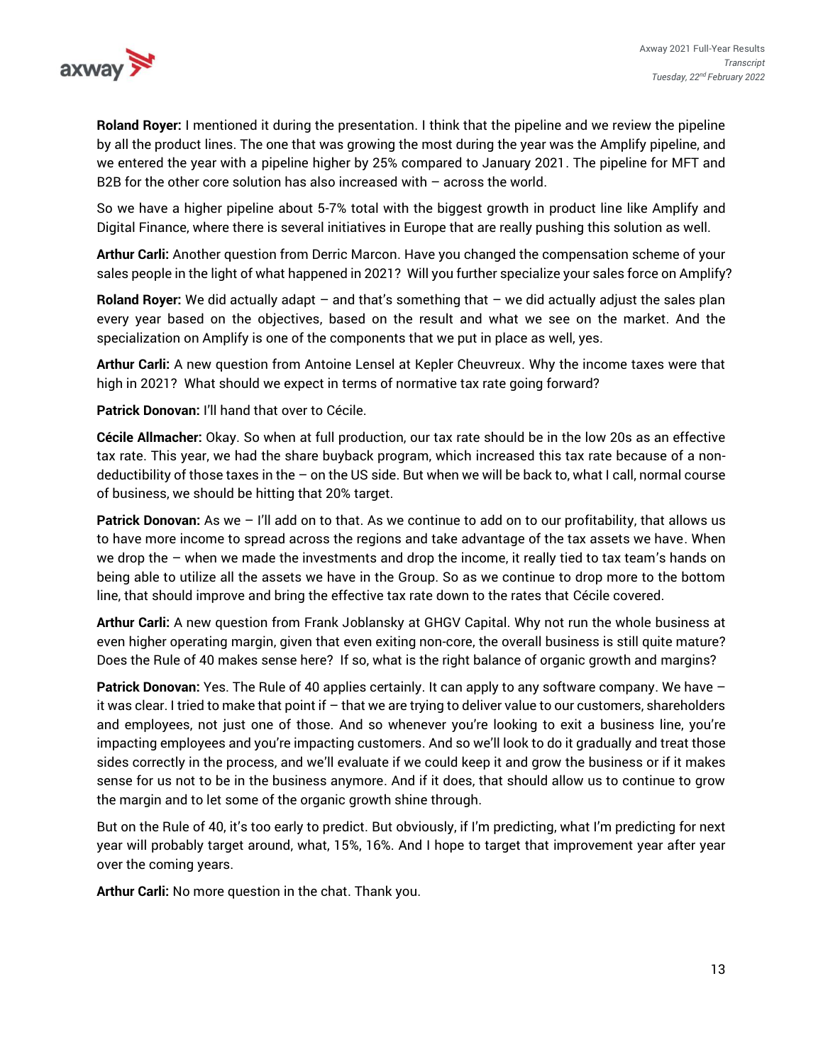

**Roland Royer:** I mentioned it during the presentation. I think that the pipeline and we review the pipeline by all the product lines. The one that was growing the most during the year was the Amplify pipeline, and we entered the year with a pipeline higher by 25% compared to January 2021. The pipeline for MFT and B2B for the other core solution has also increased with – across the world.

So we have a higher pipeline about 5-7% total with the biggest growth in product line like Amplify and Digital Finance, where there is several initiatives in Europe that are really pushing this solution as well.

**Arthur Carli:** Another question from Derric Marcon. Have you changed the compensation scheme of your sales people in the light of what happened in 2021? Will you further specialize your sales force on Amplify?

**Roland Royer:** We did actually adapt – and that's something that – we did actually adjust the sales plan every year based on the objectives, based on the result and what we see on the market. And the specialization on Amplify is one of the components that we put in place as well, yes.

**Arthur Carli:** A new question from Antoine Lensel at Kepler Cheuvreux. Why the income taxes were that high in 2021? What should we expect in terms of normative tax rate going forward?

**Patrick Donovan:** I'll hand that over to Cécile.

**Cécile Allmacher:** Okay. So when at full production, our tax rate should be in the low 20s as an effective tax rate. This year, we had the share buyback program, which increased this tax rate because of a nondeductibility of those taxes in the – on the US side. But when we will be back to, what I call, normal course of business, we should be hitting that 20% target.

**Patrick Donovan:** As we – I'll add on to that. As we continue to add on to our profitability, that allows us to have more income to spread across the regions and take advantage of the tax assets we have. When we drop the – when we made the investments and drop the income, it really tied to tax team's hands on being able to utilize all the assets we have in the Group. So as we continue to drop more to the bottom line, that should improve and bring the effective tax rate down to the rates that Cécile covered.

**Arthur Carli:** A new question from Frank Joblansky at GHGV Capital. Why not run the whole business at even higher operating margin, given that even exiting non-core, the overall business is still quite mature? Does the Rule of 40 makes sense here? If so, what is the right balance of organic growth and margins?

**Patrick Donovan:** Yes. The Rule of 40 applies certainly. It can apply to any software company. We have – it was clear. I tried to make that point if – that we are trying to deliver value to our customers, shareholders and employees, not just one of those. And so whenever you're looking to exit a business line, you're impacting employees and you're impacting customers. And so we'll look to do it gradually and treat those sides correctly in the process, and we'll evaluate if we could keep it and grow the business or if it makes sense for us not to be in the business anymore. And if it does, that should allow us to continue to grow the margin and to let some of the organic growth shine through.

But on the Rule of 40, it's too early to predict. But obviously, if I'm predicting, what I'm predicting for next year will probably target around, what, 15%, 16%. And I hope to target that improvement year after year over the coming years.

**Arthur Carli:** No more question in the chat. Thank you.